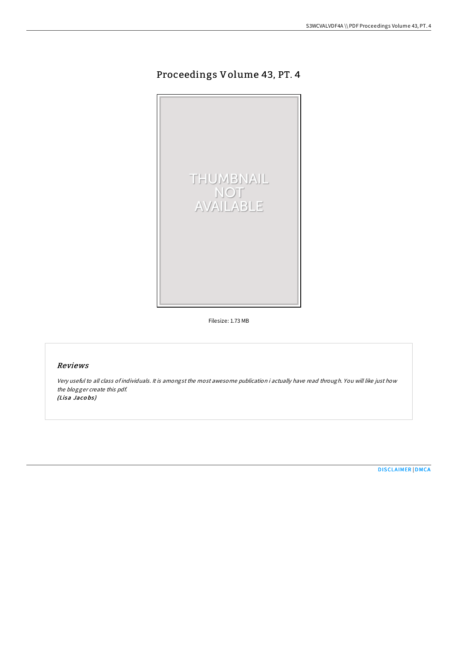# Proceedings Volume 43, PT. 4



Filesize: 1.73 MB

## Reviews

Very useful to all class of individuals. It is amongst the most awesome publication i actually have read through. You will like just how the blogger create this pdf. (Lisa Jacobs)

[DISCLAIMER](http://almighty24.tech/disclaimer.html) | [DMCA](http://almighty24.tech/dmca.html)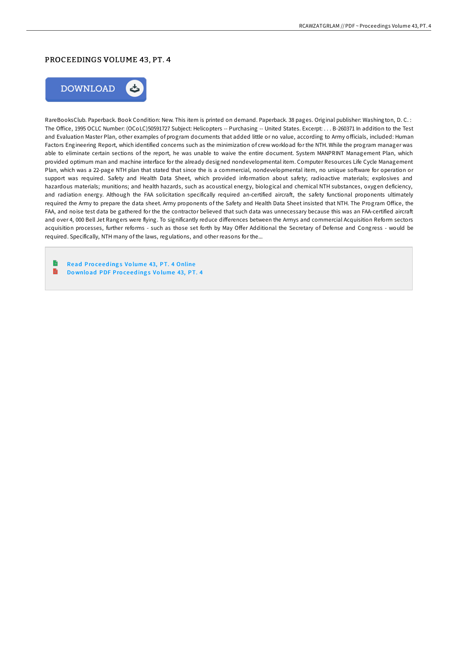#### PROCEEDINGS VOLUME 43, PT. 4



RareBooksClub. Paperback. Book Condition: New. This item is printed on demand. Paperback. 38 pages. Original publisher: Washington, D. C. : The Office, 1995 OCLC Number: (OCoLC)50591727 Subject: Helicopters -- Purchasing -- United States. Excerpt: . . . B-260371 In addition to the Test and Evaluation Master Plan, other examples of program documents that added little or no value, according to Army officials, included: Human Factors Engineering Report, which identified concerns such as the minimization of crew workload for the NTH. While the program manager was able to eliminate certain sections of the report, he was unable to waive the entire document. System MANPRINT Management Plan, which provided optimum man and machine interface for the already designed nondevelopmental item. Computer Resources Life Cycle Management Plan, which was a 22-page NTH plan that stated that since the is a commercial, nondevelopmental item, no unique software for operation or support was required. Safety and Health Data Sheet, which provided information about safety; radioactive materials; explosives and hazardous materials; munitions; and health hazards, such as acoustical energy, biological and chemical NTH substances, oxygen deficiency, and radiation energy. Although the FAA solicitation specifically required an-certified aircraft, the safety functional proponents ultimately required the Army to prepare the data sheet. Army proponents of the Safety and Health Data Sheet insisted that NTH. The Program Office, the FAA, and noise test data be gathered for the the contractor believed that such data was unnecessary because this was an FAA-certified aircraft and over 4, 000 Bell Jet Rangers were flying. To significantly reduce differences between the Armys and commercial Acquisition Reform sectors acquisition processes, further reforms - such as those set forth by May Offer Additional the Secretary of Defense and Congress - would be required. Specifically, NTH many of the laws, regulations, and other reasons for the...

Read Proceedings Volume 43, PT. 4 [Online](http://almighty24.tech/proceedings-volume-43-pt-4.html) B Do wnlo ad PDF Pro ce ed ing s Vo [lume](http://almighty24.tech/proceedings-volume-43-pt-4.html) 43, PT. 4